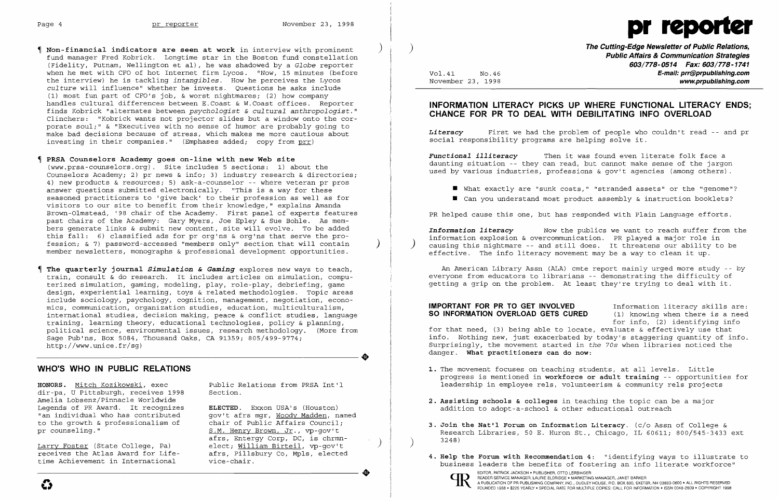

 **Non-financial indicators are seen at work** in interview with prominent ) fund manager Fred Kobrick. Longtime star in the Boston fund constellation (Fidelity, Putnam, Wellington et al), he was shadowed by a *Globe* reporter when he met with CFO of hot Internet firm Lycos. "Now, 15 minutes (before the interview) he is tackling *intangibles.* How he perceives the Lycos *culture* will influence" whether he invests. Questions he asks include (1) most fun part of CFO's job, & worst nightmares; (2) how company handles cultural differences between E.Coast & W.Coast offices. Reporter finds Kobrick "alternates between *psychologist* & *cultural anthropologist."* Clinchers: "Kobrick wants not projector slides but a window onto the cor porate soul;" & "Executives with no sense of humor are probably going to make bad decisions because of stress, which makes me more cautious about investing in their companies." (Emphases added; copy from prr)

### **PRSA Counselors Academy goes on-line with new Web site**

**HONORS.** Mitch Kozikowski, exec Public Relations from PRSA Int'l dir-pa, U Pittsburgh, receives 1998 Amelia Lobsenz/Pinnacle Worldwide Legends of PR Award. It recognizes **ELECTED**. Exxon USA's (Houston)<br>"an individual who has contributed qov't afrs mqr, Woody Madden, n to the growth & professionalism of pr counseling."

Larry Foster (State College, Pa) elect; William Birteil, vp-gov't<br>receives the Atlas Award for Life- afrs, Pillsbury Co, Mpls, elected

(www.prsa-counselors.org). Site includes 5 sections: 1) about the Counselors Academy; 2) pr news & info; 3) industry research & directories; 4) new products & resources; 5) ask-a-counselor -- where veteran pr pros answer questions submitted electronically. "This is a way for these seasoned practitioners to 'give back' to their profession as well as for visitors to our site to benefit from their knowledge," explains Amanda Brown-Olmstead, '98 chair of the Academy. First panel of experts features past chairs of the Academy: Gary Myers, Joe Epley & Sue Bohle. As members generate links & submit new content, site will evolve. To be added this fall: 6) classified ads for pr org'ns & org'ns that serve the profession; & 7) password-accessed "members only" section that will contain ) member newsletters, monographs & professional development opportunities.

> gov't afrs mgr, <u>Woody Madden</u>, named<br>chair of Public Affairs Council; S.M. Henry Brown, Jr., vp-gov't afrs, Entergy Corp, DC, is chrmn-

) **The Cutting-Edge Newsletter of Public Relations, Public Affairs & Communication Strategies 603/778-0514 Fax: 603/778-1741**  Vol.41 NO.46 **E-mail: prr@prpublishing.com**  www.prpublishing.com

■ What exactly are "sunk costs," "stranded assets" or the "genome"? ■ Can you understand most product assembly & instruction booklets?

 **The quarterly journal** *Simulation* **&** *Gaming* explores new ways to teach, train, consult & do research. It includes articles on simulation, compu terized simulation, gaming, modeling, play, role-play, debriefing, game design, experiential learning, toys & related methodologies. Topic areas include sociology, psychology, cognition, management, negotiation, econo-<br>mics, communication, organization studies, education, multiculturalism, mics, communication, organization studies, education, multiculturalism, international studies, decision making, peace & conflict studies, language training, learning theory, educational technologies, policy & planning, political science, environmental issues, research methodology. (More from Sage Pub'ns, Box 5084, Thousand Oaks, CA 91359; 805/499-9774;<br>
http://www.unice.fr/sg)<br>
WHO'S WHO IN PUBLIC RELATIONS http://www.unice.fr/sg)

An American Library Assn (ALA) cmte report mainly urged more study -- by everyone from educators to librarians -- demonstrating the difficulty of getting a grip on the problem. At least they're trying to deal with it.

**IMPORTANT FOR PR TO GET INVOLVED** Information literacy skills are:<br>**SO INFORMATION OVERLOAD GETS CURED** (1) knowing when there is a need **SO INFORMATION OVERLOAD GETS CURED** for info, (2) identifying info for that need, (3) being able to locate, evaluate & effectively use that info. Nothing new, just exacerbated by today's staggering quantity of info. Surprisingly, the movement started in *the 70s* when libraries noticed the danger. **What practitioners can do now:** 

## **WHO'S WHO IN PUBLIC RELATIONS**

- 1. The movement focuses on teaching students, at all levels. Little
- **2. Assisting schools & colleges** in teaching the topic can be a major addition to adopt-a-school & other educational outreach
- **3. Join the Nat'l Forum on Information Literacy.** (c/o Assn of College & 3248) )
- 



**EDITOR, PATRICK JACKSON** • PUBLISHER, OTTO LERBINGER<br>
EDITOR, PATRICK JACKSON • PUBLISHER, OTTO LERBINGER<br>
PEADER SERVICE MANAGER, LAURIE ELDRIDGE • MARKETING MANAGER, JANET BARKER<br>
PUBLICATION OF PR PUBLISHING COMPANY, I A PUBLICATION OF PR PUBLISHING COMPANY, INC., DUDLEY HOUSE, P.O. BOX 600, EXETER, NH 03833-0600 • ALL RIGHTS RESERVED COLOR, PATRICK JACKSON • POBLISHING MANAGER, UTO LEHBINGER<br>
READER SERVICE MANAGER, LAURIE ELDRIDGE • MARKETING MANAGER, LAURIE ELDRIDGE • MARKETING MANAGER, JANET BARKER<br>
FOUNDED 1958 • \$225 YEARLY • SPECIAL RATE FOR MULT



## **INFORMATION LITERACY PICKS UP WHERE FUNCTIONAL LITERACY ENDS; CHANCE FOR PR TO DEAL WITH DEBILITATING INFO OVERLOAD**

*Literacy* First we had the problem of people who couldn't read -- and pr social responsibility programs are helping solve it.

*Functional illiteracy* Then it was found even literate folk face a daunting situation -- they can read, but cannot make sense of the jargon used by various industries, professions & gov't agencies (among others).

- 
- 

PR helped cause this one, but has responded with Plain Language efforts.

*Information literacy* Now the publics we want to reach suffer from the information explosion & overcommunication. PR played a major role in ) causing this nightmare -- and still does. It threatens our ability to be effective. The info literacy movement may be a way to clean it up.

progress is mentioned in **workforce or adult training** -- opportunities for leadership in employee rels, volunteerism & community rels projects

Research Libraries, 50 E. Huron St., Chicago, IL 60611; 800/545-3433 ext

EDITOR PATRICK JOINGER (DISPONSITION OF DITE - SITES, PITISDUM OF MOTES, ELECLED 4. Help the Forum with Recommendation 4: "identifying ways to illustrate to<br>
Lime Achievement in International vice-chair.<br>
SUITOR, PATRICK J